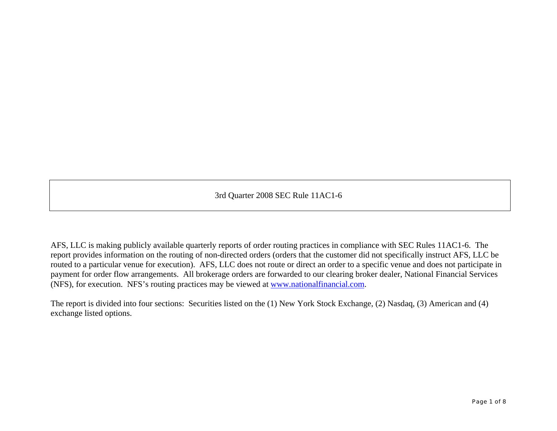3rd Quarter 2008 SEC Rule 11AC1-6

AFS, LLC is making publicly available quarterly reports of order routing practices in compliance with SEC Rules 11AC1-6. The report provides information on the routing of non-directed orders (orders that the customer did not specifically instruct AFS, LLC be routed to a particular venue for execution). AFS, LLC does not route or direct an order to a specific venue and does not participate in payment for order flow arrangements. All brokerage orders are forwarded to our clearing broker dealer, National Financial Services (NFS), for execution. NFS's routing practices may be viewed at [www.nationalfinancial.com](http://www.nationalfinancial.com/).

The report is divided into four sections: Securities listed on the (1) New York Stock Exchange, (2) Nasdaq, (3) American and (4) exchange listed options.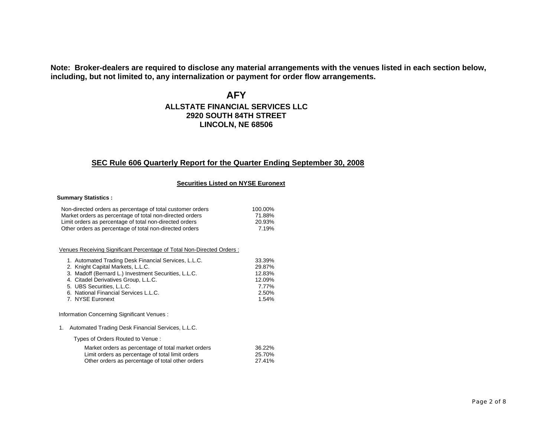**Note: Broker-dealers are required to disclose any material arrangements with the venues listed in each section below, including, but not limited to, any internalization or payment for order flow arrangements.**

**AFY**

# **ALLSTATE FINANCIAL SERVICES LLC2920 SOUTH 84TH STREETLINCOLN, NE 68506**

# **SEC Rule 606 Quarterly Report for the Quarter Ending September 30, 2008**

#### **Securities Listed on NYSE Euronext**

#### **Summary Statistics :**

| Non-directed orders as percentage of total customer orders | 100.00% |
|------------------------------------------------------------|---------|
| Market orders as percentage of total non-directed orders   | 71.88%  |
| Limit orders as percentage of total non-directed orders    | 20.93%  |
| Other orders as percentage of total non-directed orders    | 7.19%   |

#### Venues Receiving Significant Percentage of Total Non-Directed Orders :

| 1. Automated Trading Desk Financial Services, L.L.C. | 33.39% |
|------------------------------------------------------|--------|
| 2. Knight Capital Markets, L.L.C.                    | 29.87% |
| 3. Madoff (Bernard L.) Investment Securities, L.L.C. | 12.83% |
| 4. Citadel Derivatives Group, L.L.C.                 | 12.09% |
| 5. UBS Securities, L.L.C.                            | 7.77%  |
| 6. National Financial Services L.L.C.                | 2.50%  |
| 7. NYSE Euronext                                     | 1.54%  |

Information Concerning Significant Venues :

1. Automated Trading Desk Financial Services, L.L.C.

Types of Orders Routed to Venue :

| Market orders as percentage of total market orders | 36.22% |
|----------------------------------------------------|--------|
| Limit orders as percentage of total limit orders   | 25.70% |
| Other orders as percentage of total other orders   | 27.41% |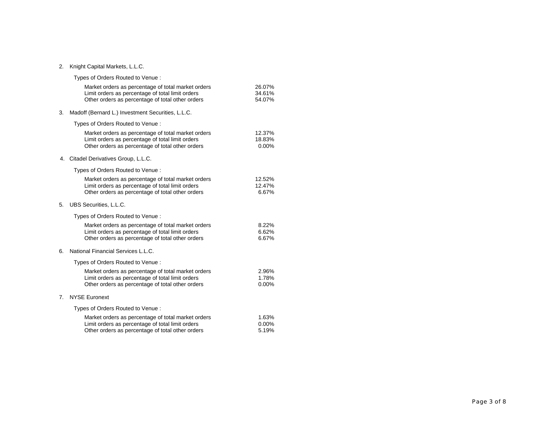#### 2. Knight Capital Markets, L.L.C.

|    | Types of Orders Routed to Venue:                                                                                                                           |                            |
|----|------------------------------------------------------------------------------------------------------------------------------------------------------------|----------------------------|
|    | Market orders as percentage of total market orders<br>Limit orders as percentage of total limit orders<br>Other orders as percentage of total other orders | 26.07%<br>34.61%<br>54.07% |
| 3. | Madoff (Bernard L.) Investment Securities, L.L.C.                                                                                                          |                            |
|    | Types of Orders Routed to Venue:                                                                                                                           |                            |
|    | Market orders as percentage of total market orders<br>Limit orders as percentage of total limit orders<br>Other orders as percentage of total other orders | 12.37%<br>18.83%<br>0.00%  |
|    | 4. Citadel Derivatives Group, L.L.C.                                                                                                                       |                            |
|    | Types of Orders Routed to Venue :                                                                                                                          |                            |
|    | Market orders as percentage of total market orders<br>Limit orders as percentage of total limit orders<br>Other orders as percentage of total other orders | 12.52%<br>12.47%<br>6.67%  |
| 5. | UBS Securities, L.L.C.                                                                                                                                     |                            |
|    | Types of Orders Routed to Venue:                                                                                                                           |                            |
|    | Market orders as percentage of total market orders<br>Limit orders as percentage of total limit orders<br>Other orders as percentage of total other orders | 8.22%<br>6.62%<br>6.67%    |
| 6. | National Financial Services L.L.C.                                                                                                                         |                            |
|    | Types of Orders Routed to Venue:                                                                                                                           |                            |
|    | Market orders as percentage of total market orders<br>Limit orders as percentage of total limit orders<br>Other orders as percentage of total other orders | 2.96%<br>1.78%<br>0.00%    |
| 7. | <b>NYSE Euronext</b>                                                                                                                                       |                            |
|    | Types of Orders Routed to Venue:                                                                                                                           |                            |
|    | Market orders as percentage of total market orders<br>Limit orders as percentage of total limit orders<br>Other orders as percentage of total other orders | 1.63%<br>0.00%<br>5.19%    |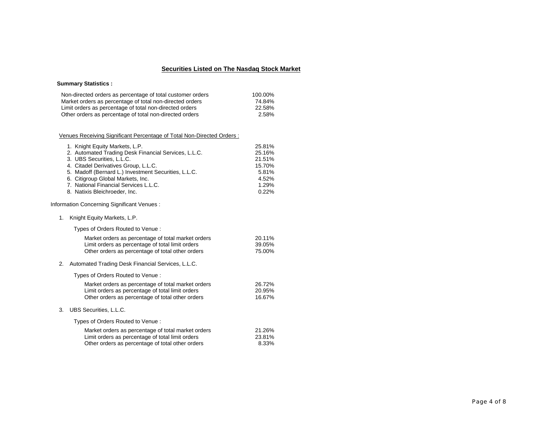## **Securities Listed on The Nasdaq Stock Market**

### **Summary Statistics :**

| Non-directed orders as percentage of total customer orders | 100.00% |
|------------------------------------------------------------|---------|
| Market orders as percentage of total non-directed orders   | 74.84%  |
| Limit orders as percentage of total non-directed orders    | 22.58%  |
| Other orders as percentage of total non-directed orders    | 2.58%   |

### Venues Receiving Significant Percentage of Total Non-Directed Orders :

| 1. Knight Equity Markets, L.P.                       | 25.81% |
|------------------------------------------------------|--------|
| 2. Automated Trading Desk Financial Services, L.L.C. | 25.16% |
| 3. UBS Securities, L.L.C.                            | 21.51% |
| 4. Citadel Derivatives Group, L.L.C.                 | 15.70% |
| 5. Madoff (Bernard L.) Investment Securities, L.L.C. | 5.81%  |
| 6. Citigroup Global Markets, Inc.                    | 4.52%  |
| 7. National Financial Services L.L.C.                | 1.29%  |
| 8. Natixis Bleichroeder, Inc.                        | 0.22%  |

Information Concerning Significant Venues :

1. Knight Equity Markets, L.P.

Types of Orders Routed to Venue :

| Market orders as percentage of total market orders | 20.11% |
|----------------------------------------------------|--------|
| Limit orders as percentage of total limit orders   | 39.05% |
| Other orders as percentage of total other orders   | 75.00% |

2. Automated Trading Desk Financial Services, L.L.C.

Types of Orders Routed to Venue :

| Market orders as percentage of total market orders | 26.72% |
|----------------------------------------------------|--------|
| Limit orders as percentage of total limit orders   | 20.95% |
| Other orders as percentage of total other orders   | 16.67% |

3. UBS Securities, L.L.C.

Types of Orders Routed to Venue :

| Market orders as percentage of total market orders | 21.26% |
|----------------------------------------------------|--------|
| Limit orders as percentage of total limit orders   | 23.81% |
| Other orders as percentage of total other orders   | 8.33%  |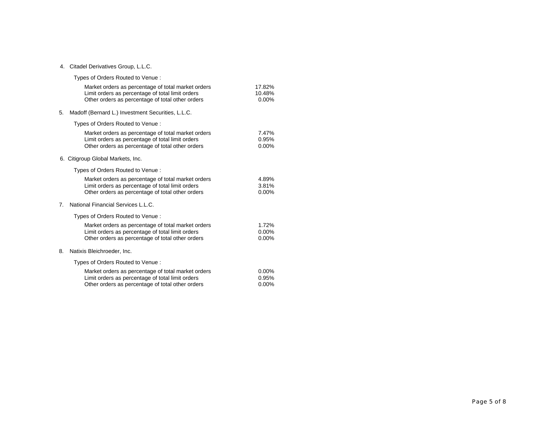#### 4. Citadel Derivatives Group, L.L.C.

|    | Types of Orders Routed to Venue:                                                                                                                           |                               |
|----|------------------------------------------------------------------------------------------------------------------------------------------------------------|-------------------------------|
|    | Market orders as percentage of total market orders<br>Limit orders as percentage of total limit orders<br>Other orders as percentage of total other orders | 17.82%<br>10.48%<br>$0.00\%$  |
| 5. | Madoff (Bernard L.) Investment Securities, L.L.C.                                                                                                          |                               |
|    | Types of Orders Routed to Venue:                                                                                                                           |                               |
|    | Market orders as percentage of total market orders<br>Limit orders as percentage of total limit orders<br>Other orders as percentage of total other orders | 7.47%<br>0.95%<br>$0.00\%$    |
|    | 6. Citigroup Global Markets, Inc.                                                                                                                          |                               |
|    | Types of Orders Routed to Venue:                                                                                                                           |                               |
|    | Market orders as percentage of total market orders<br>Limit orders as percentage of total limit orders<br>Other orders as percentage of total other orders | 4.89%<br>3.81%<br>$0.00\%$    |
| 7. | National Financial Services L.L.C.                                                                                                                         |                               |
|    | Types of Orders Routed to Venue:                                                                                                                           |                               |
|    | Market orders as percentage of total market orders<br>Limit orders as percentage of total limit orders<br>Other orders as percentage of total other orders | 1.72%<br>0.00%<br>$0.00\%$    |
| 8. | Natixis Bleichroeder, Inc.                                                                                                                                 |                               |
|    | Types of Orders Routed to Venue:                                                                                                                           |                               |
|    | Market orders as percentage of total market orders<br>Limit orders as percentage of total limit orders<br>Other orders as percentage of total other orders | $0.00\%$<br>0.95%<br>$0.00\%$ |
|    |                                                                                                                                                            |                               |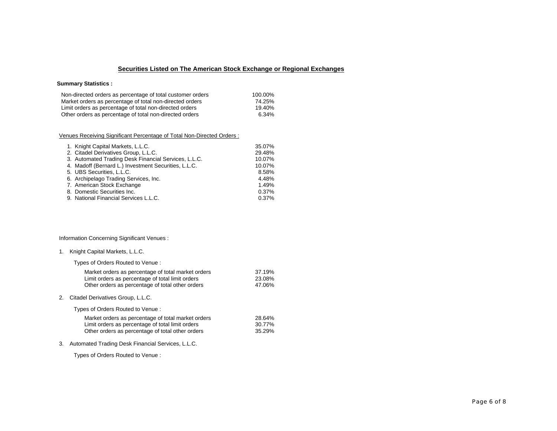## **Securities Listed on The American Stock Exchange or Regional Exchanges**

### **Summary Statistics :**

| Non-directed orders as percentage of total customer orders | 100.00% |
|------------------------------------------------------------|---------|
| Market orders as percentage of total non-directed orders   | 74.25%  |
| Limit orders as percentage of total non-directed orders    | 19.40%  |
| Other orders as percentage of total non-directed orders    | 6.34%   |
|                                                            |         |

### Venues Receiving Significant Percentage of Total Non-Directed Orders :

| 1. Knight Capital Markets, L.L.C.                    | 35.07% |
|------------------------------------------------------|--------|
| 2. Citadel Derivatives Group, L.L.C.                 | 29.48% |
| 3. Automated Trading Desk Financial Services, L.L.C. | 10.07% |
| 4. Madoff (Bernard L.) Investment Securities, L.L.C. | 10.07% |
| 5. UBS Securities, L.L.C.                            | 8.58%  |
| 6. Archipelago Trading Services, Inc.                | 4.48%  |
| 7. American Stock Exchange                           | 1.49%  |
| 8. Domestic Securities Inc.                          | 0.37%  |
| 9. National Financial Services L.L.C.                | 0.37%  |

### Information Concerning Significant Venues :

| 1. |  |  | Knight Capital Markets, L.L.C. |  |
|----|--|--|--------------------------------|--|
|----|--|--|--------------------------------|--|

Types of Orders Routed to Venue :

| Market orders as percentage of total market orders | 37.19% |
|----------------------------------------------------|--------|
| Limit orders as percentage of total limit orders   | 23.08% |
| Other orders as percentage of total other orders   | 47.06% |

2. Citadel Derivatives Group, L.L.C.

Types of Orders Routed to Venue :

| Market orders as percentage of total market orders | 28.64% |
|----------------------------------------------------|--------|
| Limit orders as percentage of total limit orders   | 30.77% |
| Other orders as percentage of total other orders   | 35.29% |

3. Automated Trading Desk Financial Services, L.L.C.

Types of Orders Routed to Venue :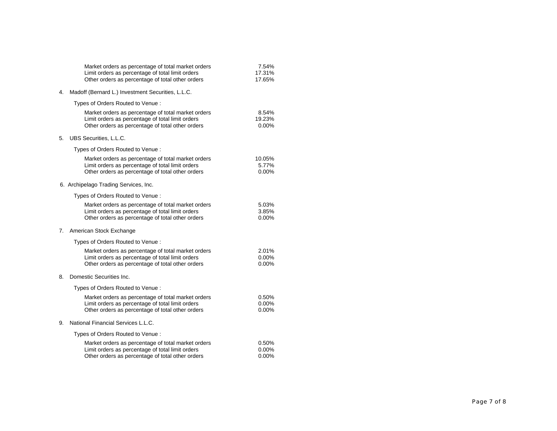|    | Market orders as percentage of total market orders<br>Limit orders as percentage of total limit orders<br>Other orders as percentage of total other orders | 7.54%<br>17.31%<br>17.65%     |
|----|------------------------------------------------------------------------------------------------------------------------------------------------------------|-------------------------------|
| 4. | Madoff (Bernard L.) Investment Securities, L.L.C.                                                                                                          |                               |
|    | Types of Orders Routed to Venue :                                                                                                                          |                               |
|    | Market orders as percentage of total market orders<br>Limit orders as percentage of total limit orders<br>Other orders as percentage of total other orders | 8.54%<br>19.23%<br>$0.00\%$   |
| 5. | UBS Securities, L.L.C.                                                                                                                                     |                               |
|    | Types of Orders Routed to Venue:                                                                                                                           |                               |
|    | Market orders as percentage of total market orders<br>Limit orders as percentage of total limit orders<br>Other orders as percentage of total other orders | 10.05%<br>5.77%<br>$0.00\%$   |
|    | 6. Archipelago Trading Services, Inc.                                                                                                                      |                               |
|    | Types of Orders Routed to Venue:                                                                                                                           |                               |
|    | Market orders as percentage of total market orders<br>Limit orders as percentage of total limit orders<br>Other orders as percentage of total other orders | 5.03%<br>3.85%<br>$0.00\%$    |
| 7. | American Stock Exchange                                                                                                                                    |                               |
|    | Types of Orders Routed to Venue:                                                                                                                           |                               |
|    | Market orders as percentage of total market orders<br>Limit orders as percentage of total limit orders<br>Other orders as percentage of total other orders | 2.01%<br>$0.00\%$<br>$0.00\%$ |
| 8. | Domestic Securities Inc.                                                                                                                                   |                               |
|    | Types of Orders Routed to Venue:                                                                                                                           |                               |
|    | Market orders as percentage of total market orders<br>Limit orders as percentage of total limit orders<br>Other orders as percentage of total other orders | 0.50%<br>0.00%<br>$0.00\%$    |
| 9. | National Financial Services L.L.C.                                                                                                                         |                               |
|    | Types of Orders Routed to Venue:                                                                                                                           |                               |
|    | Market orders as percentage of total market orders<br>Limit orders as percentage of total limit orders<br>Other orders as percentage of total other orders | 0.50%<br>0.00%<br>$0.00\%$    |